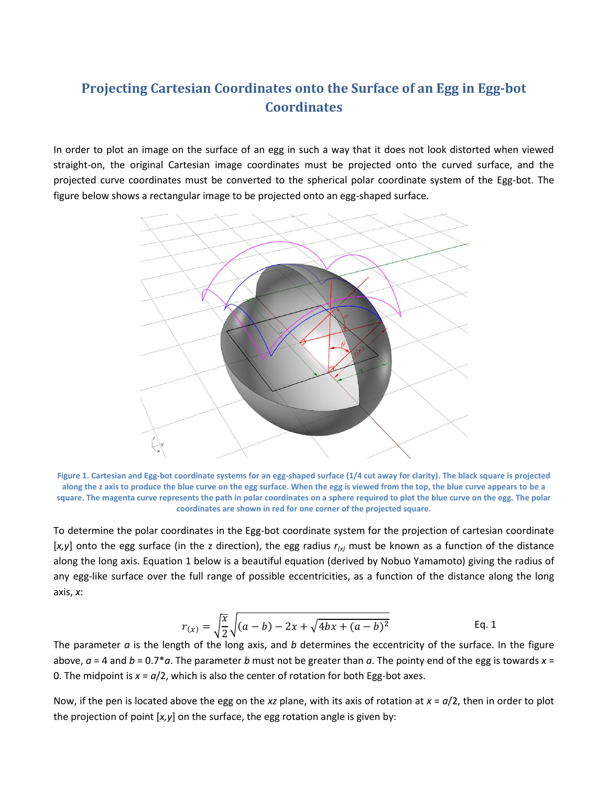## **Projecting Cartesian Coordinates onto the Surface of an Egg in Egg-bot Coordinates**

In order to plot an image on the surface of an egg in such a way that it does not look distorted when viewed straight-on, the original Cartesian image coordinates must be projected onto the curved surface, and the projected curve coordinates must be converted to the spherical polar coordinate system of the Egg-bot. The figure below shows a rectangular image to be projected onto an egg-shaped surface.



**Figure 1. Cartesian and Egg-bot coordinate systems for an egg-shaped surface (1/4 cut away for clarity). The black square is projected along the z axis to produce the blue curve on the egg surface. When the egg is viewed from the top, the blue curve appears to be a square. The magenta curve represents the path in polar coordinates on a sphere required to plot the blue curve on the egg. The polar coordinates are shown in red for one corner of the projected square.**

To determine the polar coordinates in the Egg-bot coordinate system for the projection of cartesian coordinate [*x,y*] onto the egg surface (in the z direction), the egg radius *r(x)* must be known as a function of the distance along the long axis. Equation 1 below is a beautiful equation (derived by Nobuo Yamamoto) giving the radius of any egg-like surface over the full range of possible eccentricities, as a function of the distance along the long axis, *x*:

$$
r_{(x)} = \sqrt{\frac{x}{2}} \sqrt{(a-b) - 2x + \sqrt{4bx + (a-b)^2}}
$$
 Eq. 1

The parameter *a* is the length of the long axis, and *b* determines the eccentricity of the surface. In the figure above, *a* = 4 and *b* = 0.7\**a*. The parameter *b* must not be greater than *a*. The pointy end of the egg is towards *x* = 0. The midpoint is  $x = a/2$ , which is also the center of rotation for both Egg-bot axes.

Now, if the pen is located above the egg on the *xz* plane, with its axis of rotation at *x* = *a*/2, then in order to plot the projection of point [*x,y*] on the surface, the egg rotation angle is given by: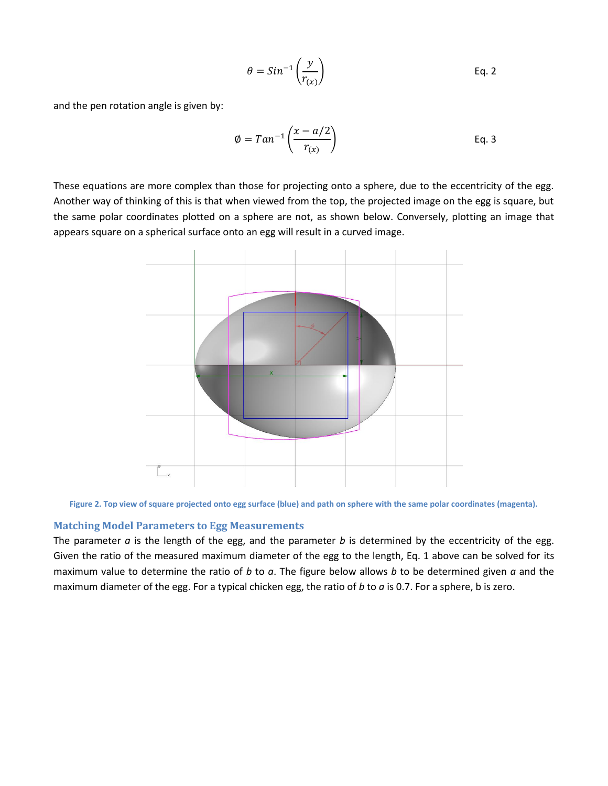$$
\theta = Sin^{-1}\left(\frac{y}{r_{(x)}}\right)
$$
 Eq. 2

and the pen rotation angle is given by:

$$
\emptyset = Tan^{-1}\left(\frac{x - a/2}{r_{(x)}}\right)
$$
 Eq. 3

These equations are more complex than those for projecting onto a sphere, due to the eccentricity of the egg. Another way of thinking of this is that when viewed from the top, the projected image on the egg is square, but the same polar coordinates plotted on a sphere are not, as shown below. Conversely, plotting an image that appears square on a spherical surface onto an egg will result in a curved image.



**Figure 2. Top view of square projected onto egg surface (blue) and path on sphere with the same polar coordinates (magenta).**

## **Matching Model Parameters to Egg Measurements**

The parameter *a* is the length of the egg, and the parameter *b* is determined by the eccentricity of the egg. Given the ratio of the measured maximum diameter of the egg to the length, Eq. 1 above can be solved for its maximum value to determine the ratio of *b* to *a*. The figure below allows *b* to be determined given *a* and the maximum diameter of the egg. For a typical chicken egg, the ratio of *b* to *a* is 0.7. For a sphere, b is zero.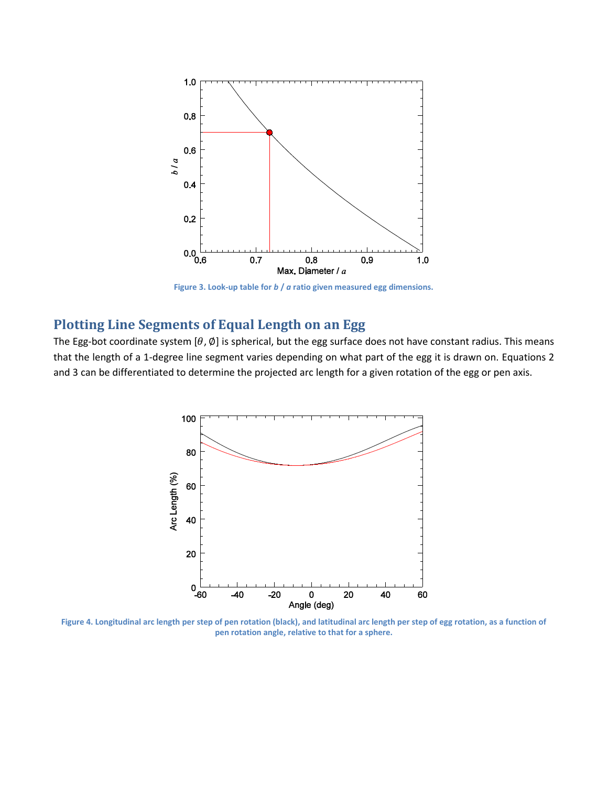

**Figure 3. Look-up table for** *b* **/** *a* **ratio given measured egg dimensions.**

## **Plotting Line Segments of Equal Length on an Egg**

The Egg-bot coordinate system [ $\theta$ ,  $\emptyset$ ] is spherical, but the egg surface does not have constant radius. This means that the length of a 1-degree line segment varies depending on what part of the egg it is drawn on. Equations 2 and 3 can be differentiated to determine the projected arc length for a given rotation of the egg or pen axis.



**Figure 4. Longitudinal arc length per step of pen rotation (black), and latitudinal arc length per step of egg rotation, as a function of pen rotation angle, relative to that for a sphere.**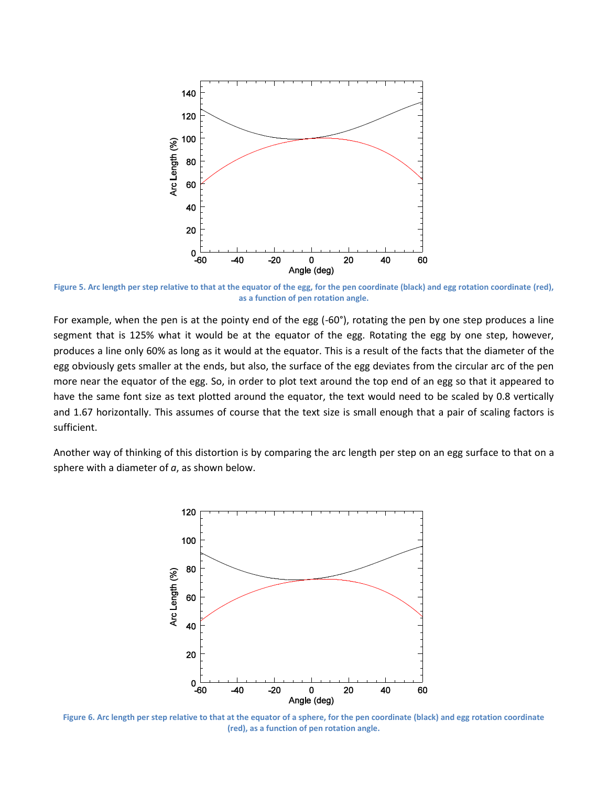

**Figure 5. Arc length per step relative to that at the equator of the egg, for the pen coordinate (black) and egg rotation coordinate (red), as a function of pen rotation angle.**

For example, when the pen is at the pointy end of the egg (-60°), rotating the pen by one step produces a line segment that is 125% what it would be at the equator of the egg. Rotating the egg by one step, however, produces a line only 60% as long as it would at the equator. This is a result of the facts that the diameter of the egg obviously gets smaller at the ends, but also, the surface of the egg deviates from the circular arc of the pen more near the equator of the egg. So, in order to plot text around the top end of an egg so that it appeared to have the same font size as text plotted around the equator, the text would need to be scaled by 0.8 vertically and 1.67 horizontally. This assumes of course that the text size is small enough that a pair of scaling factors is sufficient.

Another way of thinking of this distortion is by comparing the arc length per step on an egg surface to that on a sphere with a diameter of *a*, as shown below.



**Figure 6. Arc length per step relative to that at the equator of a sphere, for the pen coordinate (black) and egg rotation coordinate (red), as a function of pen rotation angle.**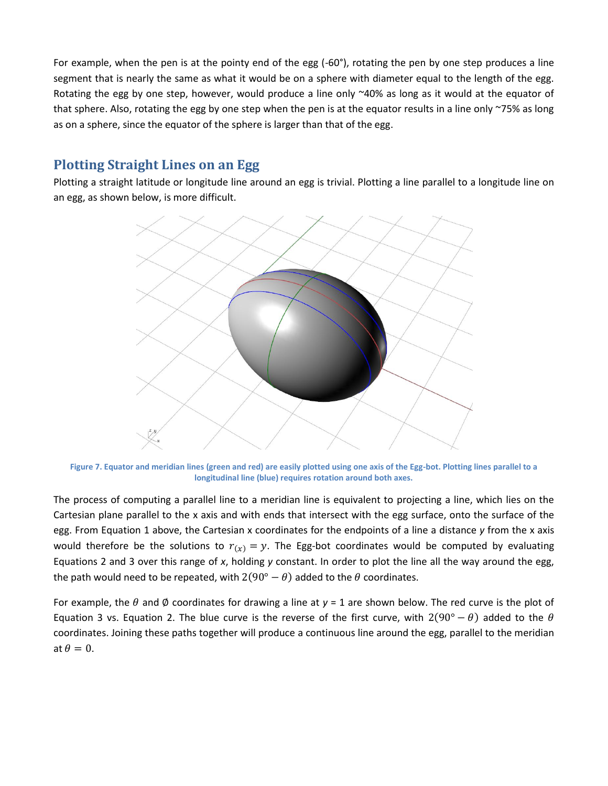For example, when the pen is at the pointy end of the egg (-60°), rotating the pen by one step produces a line segment that is nearly the same as what it would be on a sphere with diameter equal to the length of the egg. Rotating the egg by one step, however, would produce a line only ~40% as long as it would at the equator of that sphere. Also, rotating the egg by one step when the pen is at the equator results in a line only ~75% as long as on a sphere, since the equator of the sphere is larger than that of the egg.

## **Plotting Straight Lines on an Egg**

Plotting a straight latitude or longitude line around an egg is trivial. Plotting a line parallel to a longitude line on an egg, as shown below, is more difficult.



**Figure 7. Equator and meridian lines (green and red) are easily plotted using one axis of the Egg-bot. Plotting lines parallel to a longitudinal line (blue) requires rotation around both axes.**

The process of computing a parallel line to a meridian line is equivalent to projecting a line, which lies on the Cartesian plane parallel to the x axis and with ends that intersect with the egg surface, onto the surface of the egg. From Equation 1 above, the Cartesian x coordinates for the endpoints of a line a distance *y* from the x axis would therefore be the solutions to  $r(x) = y$ . The Egg-bot coordinates would be computed by evaluating Equations 2 and 3 over this range of *x*, holding *y* constant. In order to plot the line all the way around the egg, the path would need to be repeated, with  $2(90^{\circ} - \theta)$  added to the  $\theta$  coordinates.

For example, the  $\theta$  and  $\phi$  coordinates for drawing a line at  $y = 1$  are shown below. The red curve is the plot of Equation 3 vs. Equation 2. The blue curve is the reverse of the first curve, with  $2(90^{\circ} - \theta)$  added to the  $\theta$ coordinates. Joining these paths together will produce a continuous line around the egg, parallel to the meridian at  $\theta = 0$ .